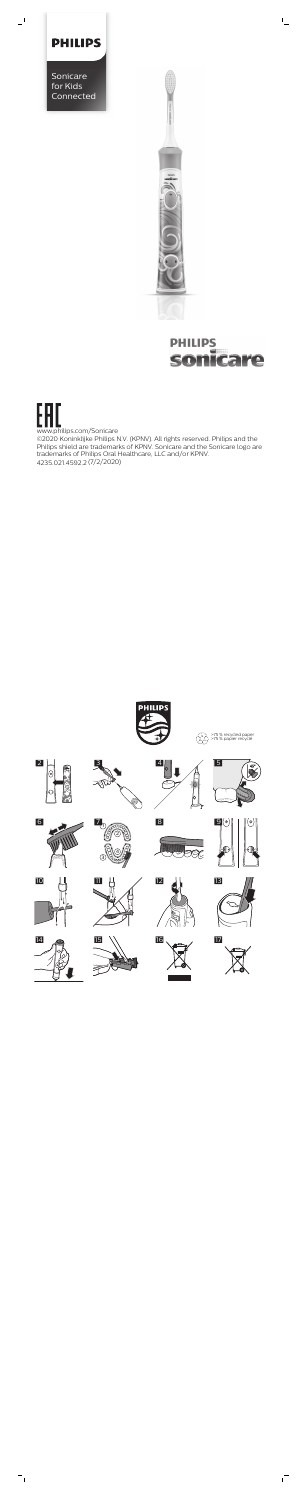

 $-$ <sup>1</sup>

# www.philips.com/Sonicare ©2020 Koninklijke Philips N.V. (KPNV). All rights reserved. Philips and the

Philips shield are trademarks of KPNV. Sonicare and the Sonicare logo are trademarks of Philips Oral Healthcare, LLC and/or KPNV. 4235.021.4592.2 (7/2/2020)



Sonicare for Kids Connected





 $\mathbb{L}_+$ 



>75 % recycled paper >75 % papier recyclé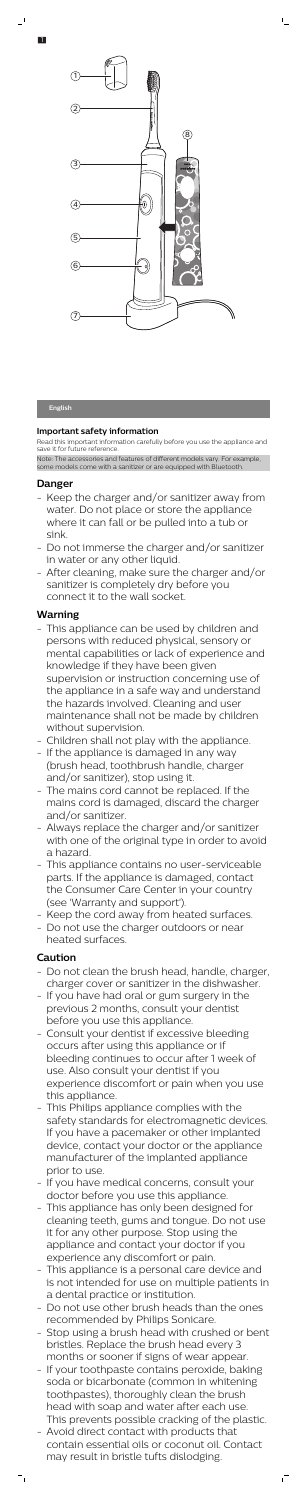#### **English**

## **Important safety information**

Read this important information carefully before you use the appliance and save it for future reference.

Note: The accessories and features of different models vary. For example, some models come with a sanitizer or are equipped with Bluetooth.

# **Danger**

- Keep the charger and/or sanitizer away from water. Do not place or store the appliance where it can fall or be pulled into a tub or sink.
- Do not immerse the charger and/or sanitizer in water or any other liquid.
- After cleaning, make sure the charger and/or sanitizer is completely dry before you connect it to the wall socket.

# **Warning**

- This appliance can be used by children and persons with reduced physical, sensory or mental capabilities or lack of experience and knowledge if they have been given supervision or instruction concerning use of the appliance in a safe way and understand the hazards involved. Cleaning and user maintenance shall not be made by children without supervision.
- Children shall not play with the appliance.
- If the appliance is damaged in any way (brush head, toothbrush handle, charger and/or sanitizer), stop using it. - The mains cord cannot be replaced. If the mains cord is damaged, discard the charger and/or sanitizer. - Always replace the charger and/or sanitizer with one of the original type in order to avoid a hazard. - This appliance contains no user-serviceable parts. If the appliance is damaged, contact the Consumer Care Center in your country (see 'Warranty and support').
- Keep the cord away from heated surfaces.
- Do not use the charger outdoors or near heated surfaces.

# **Caution**

- Do not clean the brush head, handle, charger, charger cover or sanitizer in the dishwasher.
- If you have had oral or gum surgery in the previous 2 months, consult your dentist before you use this appliance.
- Consult your dentist if excessive bleeding occurs after using this appliance or if bleeding continues to occur after 1 week of use. Also consult your dentist if you experience discomfort or pain when you use this appliance.
- This Philips appliance complies with the safety standards for electromagnetic devices. If you have a pacemaker or other implanted device, contact your doctor or the appliance manufacturer of the implanted appliance prior to use.
- If you have medical concerns, consult your doctor before you use this appliance.
- This appliance has only been designed for cleaning teeth, gums and tongue. Do not use it for any other purpose. Stop using the appliance and contact your doctor if you experience any discomfort or pain.
- This appliance is a personal care device and is not intended for use on multiple patients in a dental practice or institution.
- Do not use other brush heads than the ones recommended by Philips Sonicare.
- Stop using a brush head with crushed or bent bristles. Replace the brush head every 3 months or sooner if signs of wear appear.
- If your toothpaste contains peroxide, baking soda or bicarbonate (common in whitening toothpastes), thoroughly clean the brush head with soap and water after each use. This prevents possible cracking of the plastic.
- Avoid direct contact with products that contain essential oils or coconut oil. Contact may result in bristle tufts dislodging.

 $^{-}$ 

 $=$ <sub>1</sub>



 $\mathsf{L}$ 

1

 $\overline{\phantom{0}}$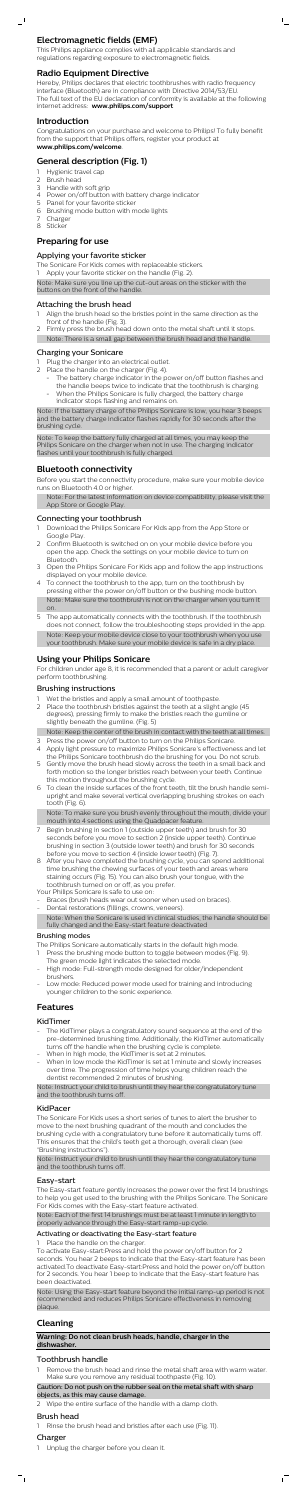# **Electromagnetic fields (EMF)**

This Philips appliance complies with all applicable standards and regulations regarding exposure to electromagnetic fields.

# **Radio Equipment Directive**

Hereby, Philips declares that electric toothbrushes with radio frequency interface (Bluetooth) are in compliance with Directive 2014/53/EU. The full text of the EU declaration of conformity is available at the following internet address: **www.philips.com/support**

 $\mathbb{L}$ 

# **Introduction**

 $\overline{\phantom{a}}$ 

Congratulations on your purchase and welcome to Philips! To fully benefit from the support that Philips offers, register your product at **www.philips.com/welcome**.

# **General description (Fig. 1)**

- Align the brush head so the bristles point in the same direction as the front of the handle (Fig. 3).
- Firmly press the brush head down onto the metal shaft until it stops. Note: There is a small gap between the brush head and the handle.
- 1 Hygienic travel cap
- 2 Brush head
- 3 Handle with soft grip
- 4 Power on/off button with battery charge indicator
- 5 Panel for your favorite sticker
- 6 Brushing mode button with mode lights
- **Charger**
- 8 Sticker

# **Preparing for use**

- Plug the charger into an electrical outlet.
- 2 Place the handle on the charger (Fig. 4).
	- The battery charge indicator in the power on/off button flashes and the handle beeps twice to indicate that the toothbrush is charging.
	- When the Philips Sonicare is fully charged, the battery charge indicator stops flashing and remains on.

## Applying your favorite sticker

The Sonicare For Kids comes with replaceable stickers.

Apply your favorite sticker on the handle (Fig. 2).

Note: Make sure you line up the cut-out areas on the sticker with the buttons on the front of the handle.

## Attaching the brush head

#### Charging your Sonicare

Note: If the battery charge of the Philips Sonicare is low, you hear 3 beeps and the battery charge indicator flashes rapidly for 30 seconds after the brushing cycle.

Note: To keep the battery fully charged at all times, you may keep the Philips Sonicare on the charger when not in use. The charging indicator flashes until your toothbrush is fully charged.

- Wet the bristles and apply a small amount of toothpaste.
- 2 Place the toothbrush bristles against the teeth at a slight angle (45 degrees), pressing firmly to make the bristles reach the gumline or slightly beneath the gumline. (Fig. 5)
- Note: Keep the center of the brush in contact with the teeth at all times.
- 3 Press the power on/off button to turn on the Philips Sonicare. 4 Apply light pressure to maximize Philips Sonicare's effectiveness and let the Philips Sonicare toothbrush do the brushing for you. Do not scrub.
- 5 Gently move the brush head slowly across the teeth in a small back and forth motion so the longer bristles reach between your teeth. Continue
- this motion throughout the brushing cycle.
- 6 To clean the inside surfaces of the front teeth, tilt the brush handle semiupright and make several vertical overlapping brushing strokes on each tooth (Fig. 6).

## **Bluetooth connectivity**

Before you start the connectivity procedure, make sure your mobile device runs on Bluetooth 4.0 or higher.

Note: For the latest information on device compatibility, please visit the App Store or Google Play.

#### Connecting your toothbrush

- Press the brushing mode button to toggle between modes (Fig. 9). The green mode light indicates the selected mode.
- High mode: Full-strength mode designed for older/independent brushers.
- Low mode: Reduced power mode used for training and introducing younger children to the sonic experience.
- 1 Download the Philips Sonicare For Kids app from the App Store or Google Play.
- 2 Confirm Bluetooth is switched on on your mobile device before you open the app. Check the settings on your mobile device to turn on Bluetooth.
- 3 Open the Philips Sonicare For Kids app and follow the app instructions displayed on your mobile device.
- 4 To connect the toothbrush to the app, turn on the toothbrush by pressing either the power on/off button or the bushing mode button. Note: Make sure the toothbrush is not on the charger when you turn it on.
- 5 The app automatically connects with the toothbrush. If the toothbrush does not connect, follow the troubleshooting steps provided in the app. Note: Keep your mobile device close to your toothbrush when you use your toothbrush. Make sure your mobile device is safe in a dry place.

- The KidTimer plays a congratulatory sound sequence at the end of the pre-determined brushing time. Additionally, the KidTimer automatically turns off the handle when the brushing cycle is complete.
- When in high mode, the KidTimer is set at 2 minutes.
- When in low mode the KidTimer is set at 1 minute and slowly increases over time. The progression of time helps young children reach the dentist recommended 2 minutes of brushing.

## **Using your Philips Sonicare**

For children under age 8, it is recommended that a parent or adult caregiver perform toothbrushing.

## Brushing instructions

Note: To make sure you brush evenly throughout the mouth, divide your mouth into 4 sections using the Quadpacer feature.

- 7 Begin brushing in section 1 (outside upper teeth) and brush for 30 seconds before you move to section 2 (inside upper teeth). Continue brushing in section 3 (outside lower teeth) and brush for 30 seconds before you move to section 4 (inside lower teeth) (Fig. 7).
- 8 After you have completed the brushing cycle, you can spend additional time brushing the chewing surfaces of your teeth and areas where staining occurs (Fig. 15). You can also brush your tongue, with the toothbrush turned on or off, as you prefer.
- Your Philips Sonicare is safe to use on:
- Braces (brush heads wear out sooner when used on braces). Dental restorations (fillings, crowns, veneers).
- Note: When the Sonicare is used in clinical studies, the handle should be fully changed and the Easy-start feature deactivated

## Brushing modes

The Philips Sonicare automatically starts in the default high mode.

# **Features**

## KidTimer

Note: Instruct your child to brush until they hear the congratulatory tune and the toothbrush turns off.

#### KidPacer

The Sonicare For Kids uses a short series of tunes to alert the brusher to move to the next brushing quadrant of the mouth and concludes the brushing cycle with a congratulatory tune before it automatically turns off. This ensures that the child's teeth get a thorough, overall clean (see "Brushing instructions").

Note: Instruct your child to brush until they hear the congratulatory tune and the toothbrush turns off.

#### Easy-start

The Easy-start feature gently increases the power over the first 14 brushings to help you get used to the brushing with the Philips Sonicare. The Sonicare For Kids comes with the Easy-start feature activated.

Note: Each of the first 14 brushings must be at least 1 minute in length to properly advance through the Easy-start ramp-up cycle.

#### Activating or deactivating the Easy-start feature

Place the handle on the charger.

To activate Easy-start:Press and hold the power on/off button for 2 seconds. You hear 2 beeps to indicate that the Easy-start feature has been activated.To deactivate Easy-start:Press and hold the power on/off button for 2 seconds. You hear 1 beep to indicate that the Easy-start feature has been deactivated.

Note: Using the Easy-start feature beyond the initial ramp-up period is not recommended and reduces Philips Sonicare effectiveness in removing plaque.

# **Cleaning**

**Warning: Do not clean brush heads, handle, charger in the dishwasher.**

## Toothbrush handle

1 Remove the brush head and rinse the metal shaft area with warm water. Make sure you remove any residual toothpaste (Fig. 10).

 $^{-}$ 

#### Caution: Do not push on the rubber seal on the metal shaft with sharp objects, as this may cause damage.

Wipe the entire surface of the handle with a damp cloth.

## Brush head

Rinse the brush head and bristles after each use (Fig. 11).

#### Charger

1 Unplug the charger before you clean it.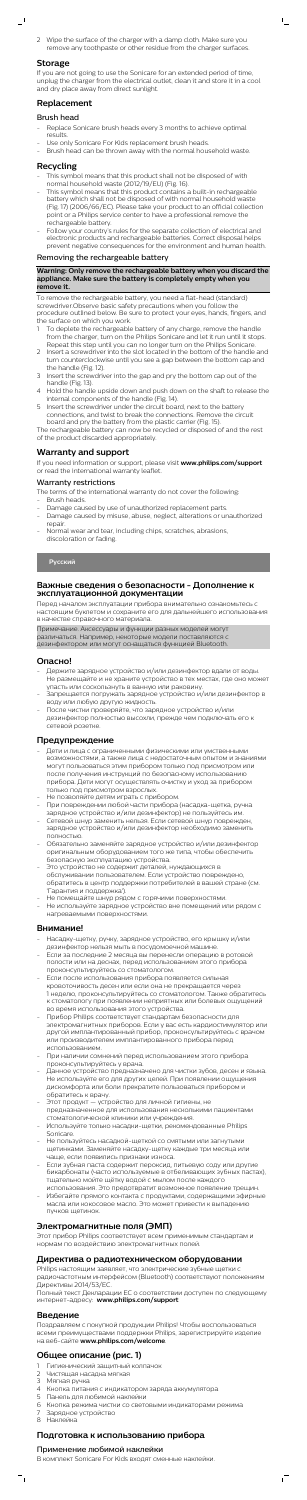2 Wipe the surface of the charger with a damp cloth. Make sure you remove any toothpaste or other residue from the charger surfaces.  $\Gamma_{\rm c}$ 

#### **Storage**

 $\blacksquare$ 

If you are not going to use the Sonicare for an extended period of time, unplug the charger from the electrical outlet, clean it and store it in a cool and dry place away from direct sunlight.

## **Replacement**

#### Brush head

- Replace Sonicare brush heads every 3 months to achieve optimal results.
- Use only Sonicare For Kids replacement brush heads.
- Brush head can be thrown away with the normal household waste.

## **Recycling**

- This symbol means that this product shall not be disposed of with normal household waste (2012/19/EU) (Fig. 16).
- This symbol means that this product contains a built-in rechargeable battery which shall not be disposed of with normal household waste (Fig. 17) (2006/66/EC). Please take your product to an official collection point or a Philips service center to have a professional remove the rechargeable battery.
- Follow your country's rules for the separate collection of electrical and electronic products and rechargeable batteries. Correct disposal helps prevent negative consequences for the environment and human health.

#### Removing the rechargeable battery

#### **Warning: Only remove the rechargeable battery when you discard the appliance. Make sure the battery is completely empty when you remove it.**

To remove the rechargeable battery, you need a flat-head (standard) screwdriver.Observe basic safety precautions when you follow the procedure outlined below. Be sure to protect your eyes, hands, fingers, and the surface on which you work.

- 1 To deplete the rechargeable battery of any charge, remove the handle from the charger, turn on the Philips Sonicare and let it run until it stops. Repeat this step until you can no longer turn on the Philips Sonicare.
- Insert a screwdriver into the slot located in the bottom of the handle and turn counterclockwise until you see a gap between the bottom cap and the handle (Fig. 12).
- 3 Insert the screwdriver into the gap and pry the bottom cap out of the handle (Fig. 13).
- 4 Hold the handle upside down and push down on the shaft to release the internal components of the handle (Fig. 14).
- 5 Insert the screwdriver under the circuit board, next to the battery connections, and twist to break the connections. Remove the circuit board and pry the battery from the plastic carrier (Fig. 15).

Дети и лица с ограниченными физическими или умственными возможностями, а также лица с недостаточным опытом и знаниями могут пользоваться этим прибором только под присмотром или после получения инструкций по безопасному использованию

The rechargeable battery can now be recycled or disposed of and the rest of the product discarded appropriately.

## **Warranty and support**

If you need information or support, please visit **www.philips.com/support** or read the international warranty leaflet.

#### Warranty restrictions

The terms of the international warranty do not cover the following:

- Brush heads. Damage caused by use of unauthorized replacement parts.
- Damage caused by misuse, abuse, neglect, alterations or unauthorized repair
- Normal wear and tear, including chips, scratches, abrasions, discoloration or fading.

#### **Русский**

## **Важные сведения о безопасности - Дополнение к эксплуатационной документации**

Перед началом эксплуатации прибора внимательно ознакомьтесь с настоящим буклетом и сохраните его для дальнейшего использования в качестве справочного материала.

Примечание. Аксессуары и функции разных моделей могут различаться. Например, некоторые модели поставляются с дезинфектором или могут оснащаться функцией Bluetooth.

#### **Опасно!**

- Держите зарядное устройство и/или дезинфектор вдали от воды. Не размещайте и не храните устройство в тех местах, где оно может упасть или соскользнуть в ванную или раковину.
- Запрещается погружать зарядное устройство и/или дезинфектор в воду или любую другую жидкость.
- После чистки проверяйте, что зарядное устройство и/или дезинфектор полностью высохли, прежде чем подключать его к сетевой розетке.

#### **Предупреждение**

прибора. Дети могут осуществлять очистку и уход за прибором только под присмотром взрослых.

- Не позволяйте детям играть с прибором.
- При повреждении любой части прибора (насадка-щетка, ручка зарядное устройство и/или дезинфектор) не пользуйтесь им.
- Сетевой шнур заменить нельзя. Если сетевой шнур поврежден, зарядное устройство и/или дезинфектор необходимо заменить полностью.
- Обязательно заменяйте зарядное устройство и/или дезинфектор оригинальным оборудованием того же типа, чтобы обеспечить безопасную эксплуатацию устройства.
- Это устройство не содержит деталей, нуждающихся в обслуживании пользователем. Если устройство повреждено, обратитесь в центр поддержки потребителей в вашей стране (см. 'Гарантия и поддержка').
- Не помещайте шнур рядом с горячими поверхностями.
- Не используйте зарядное устройство вне помещений или рядом с нагреваемыми поверхностями.

#### **Внимание!**

- Насадку-щетку, ручку, зарядное устройство, его крышку и/или дезинфектор нельзя мыть в посудомоечной машине.
- Если за последние 2 месяца вы перенесли операцию в ротовой полости или на деснах, перед использованием этого прибора проконсультируйтесь со стоматологом.
- Если после использования прибора появляется сильная кровоточивость десен или если она не прекращается через 1 неделю, проконсультируйтесь со стоматологом. Также обратитесь к стоматологу при появлении неприятных или болевых ощущений во время использования этого устройства.
- Прибор Philips соответствует стандартам безопасности для электромагнитных приборов. Если у вас есть кардиостимулятор или другой имплантированный прибор, проконсультируйтесь с врачом или производителем имплантированного прибора перед использованием.
- При наличии сомнений перед использованием этого прибора проконсультируйтесь у врача.
- Данное устройство предназначено для чистки зубов, десен и языка. Не используйте его для других целей. При появлении ощущения дискомфорта или боли прекратите пользоваться прибором и обратитесь к врачу.
- Этот продукт устройство для личной гигиены, не предназначенное для использования несколькими пациентами стоматологической клиники или учреждения.
- Используйте только насадки-щетки, рекомендованные Philips Sonicare.
- Не пользуйтесь насадкой-щеткой со смятыми или загнутыми щетинками. Заменяйте насадку-щетку каждые три месяца или чаще, если появились признаки износа.
- Если зубная паста содержит пероксид, питьевую соду или другие бикарбонаты (часто используемые в отбеливающих зубных пастах), тщательно мойте щётку водой с мылом после каждого использования. Это предотвратит возможное появление трещин.
- Избегайте прямого контакта с продуктами, содержащими эфирные масла или кокосовое масло. Это может привести к выпадению пучков щетинок.

## **Электромагнитные поля (ЭМП)**

Этот прибор Philips соответствует всем применимым стандартам и нормам по воздействию электромагнитных полей.

## **Директива о радиотехническом оборудовании**

Philips настоящим заявляет, что электрические зубные щетки с радиочастотным интерфейсом (Bluetooth) соответствуют положениям Директивы 2014/53/EC.

Полный текст Декларации ЕС о соответствии доступен по следующему интернет-адресу: **www.philips.com/support**

## **Введение**

Поздравляем с покупкой продукции Philips! Чтобы воспользоваться всеми преимуществами поддержки Philips, зарегистрируйте изделие на веб-сайте **www.philips.com/welcome**.

## **Общее описание (рис. 1)**

- 1 Гигиенический защитный колпачок
- 2 Чистящая насадка мягкая
- 3 Мягкая ручка
- 4 Кнопка питания с индикатором заряда аккумулятора
- 5 Панель для любимой наклейки
- 6 Кнопка режима чистки со световыми индикаторами режима

 $\sqrt{2}$ 

- 7 Зарядное устройство
- 8 Наклейка

## **Подготовка к использованию прибора**

#### Применение любимой наклейки

В комплект Sonicare For Kids входят сменные наклейки.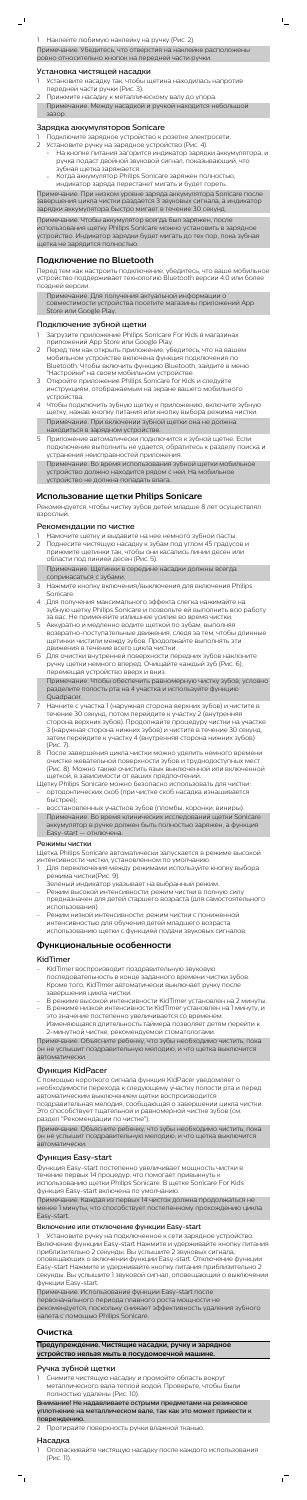1 Наклейте любимую наклейку на ручку (Рис. 2).

Примечание. Убедитесь, что отверстия на наклейке расположены ровно относительно кнопок на передней части ручки.

 $\mathbb{L}$ 

#### Установка чистящей насадки

 $\overline{\phantom{0}}$ 

- 1 Установите насадку так, чтобы щетина находилась напротив передней части ручки (Рис. 3).
- 2 Прижмите насадку к металлическому валу до упора. Примечание. Между насадкой и ручкой находится небольшой зазор.

#### Зарядка аккумуляторов Sonicare

- 1 Подключите зарядное устройство к розетке электросети.
- 2 Установите ручку на зарядное устройство (Рис. 4).
	- На кнопке питания загорится индикатор зарядки аккумулятора, и ручка подаст двойной звуковой сигнал, показывающий, что зубная щетка заряжается.
		- Когда аккумулятор Philips Sonicare заряжен полностью, индикатор заряда перестанет мигать и будет гореть.

Примечание. При низком уровне заряда аккумулятора Sonicare после завершения цикла чистки раздается 3 звуковых сигнала, а индикатор зарядки аккумулятора быстро мигает в течение 30 секунд.

Примечание. Чтобы аккумулятор всегда был заряжен, после использования щетку Philips Sonicare можно установить в зарядное устройство. Индикатор зарядки будет мигать до тех пор, пока зубная щетка не зарядится полностью.

# **Подключение по Bluetooth**

Перед тем как настроить подключение, убедитесь, что ваше мобильное устройство поддерживает технологию Bluetooth версии 4.0 или более поздней версии.

- Намочите щетку и выдавите на нее немного зубной пасты.
- 2 Поднесите чистящую насадку к зубам под углом 45 градусов и прижмите щетинки так, чтобы они касались линии десен или области под линией десен (Рис. 5).

Примечание. Для получения актуальной информации о совместимости устройства посетите магазины приложений App Store или Google Play.

- 3 Нажмите кнопку включения/выключения для включения Philips Sonicare.
- 4 Для получения максимального эффекта слегка нажимайте на зубную щетку Philips Sonicare и позвольте ей выполнить всю работу за вас. Не применяйте излишнее усилие во время чистки.
- 5 Аккуратно и медленно водите щеткой по зубам, выполняя возвратно-поступательные движения, следя за тем, чтобы длинные щетинки чистили между зубов. Продолжайте выполнять эти движения в течение всего цикла чистки.
- 6 Для очистки внутренней поверхности передних зубов наклоните ручку щетки немного вперед. Очищайте каждый зуб (Рис. 6), перемещая устройство вверх и вниз. Примечание. Чтобы обеспечить равномерную чистку зубов, условно разделите полость рта на 4 участка и используйте функцию
- 7 Начните с участка 1 (наружная сторона верхних зубов) и чистите в течение 30 секунд, потом перейдите к участку 2 (внутренняя сторона верхних зубов). Продолжайте процедуру чистки на участке 3 (наружная сторона нижних зубов) и чистите в течение 30 секунд, затем перейдите к участку 4 (внутренняя сторона нижних зубов) (Рис. 7).
- 8 После завершения цикла чистки можно уделить немного времени очистке жевательной поверхности зубов и труднодоступных мест (Рис. 8). Можно также очистить язык выключенной или включенной кой, в зависимости от ваших предпочтений.

#### Подключение зубной щетки

- 1 Загрузите приложение Philips Sonicare For Kids в магазинах приложений App Store или Google Play.
- 2 Перед тем как открыть приложение, убедитесь, что на вашем мобильном устройстве включена функция подключения по Bluetooth. Чтобы включить функцию Bluetooth, зайдите в меню "Настройки" на своем мобильном устройстве.
- 3 Откройте приложение Philips Sonicare for Kids и следуйте инструкциям, отображаемым на экране вашего мобильного устройства.
- 4 Чтобы подключить зубную щетку к приложению, включите зубную щетку, нажав кнопку питания или кнопку выбора режима чистки. Примечание. При включении зубной щетки она не должна находиться в зарядном устройстве.
- 5 Приложение автоматически подключится к зубной щетке. Если подключение выполнить не удается, обратитесь к разделу поиска и устранения неисправностей приложения.

Примечание. Во время использования зубной щетки мобильное устройство должно находится рядом с ней. На мобильное устройство не должна попадать влага.

#### **Использование щетки Philips Sonicare**

Рекомендуется, чтобы чистку зубов детей младше 8 лет осуществлял взрослый.

#### Рекомендации по чистке

- KidTimer воспроизводит поздравительную звуковую последовательность в конце заданного времени чистки зубов. Кроме того, KidTimer автоматически выключает ручку после завершения цикла чистки.
- В режиме высокой интенсивности KidTimer установлен на 2 минуты. - В режиме низкой интенсивности KidTimer установлен на 1 минуту, и это значение постепенно увеличивается со временем.
	- Изменяющаяся длительность таймера позволяет детям перейти к 2-минутной чистке, рекомендуемой стоматологами.

Примечание. Щетинки в середине насадки должны всегда соприкасаться с зубами.

Quadpacer.

Снимите чистящую насадку и промойте область вокруг металлического вала теплой водой. Проверьте, чтобы были полностью удалены (Рис. 10).

- Щетку Philips Sonicare можно безопасно использовать для чистки: - ортодонтических скоб (при чистке скоб насадка изнашивается быстрее);
- восстановленных участков зубов (пломбы, коронки, виниры). Примечание. Во время клинических исследований щетки Sonicare аккумулятор в ручке должен быть полностью заряжен, а функция Easy-start — отключена.

#### Режимы чистки

Щетка Philips Sonicare автоматически запускается в режиме высокой интенсивности чистки, установленном по умолчанию.

- 1 Для переключения между режимами используйте кнопку выбора режима чистки(Рис. 9).
- Зеленый индикатор указывает на выбранный режим. Режим высокой интенсивности: режим чистки в полную силу предназначен для детей старшего возраста (для самостоятельного использования).
- Режим низкой интенсивности: режим чистки с пониженной интенсивностью для обучения детей младшего возраста использованию щетки с функцией подачи звуковых сигналов.

## **Функциональные особенности**

#### KidTimer

Примечание. Объясните ребенку, что зубы необходимо чистить, пока он не услышит поздравительную мелодию, и что щетка выключится автоматически.

## Функция KidPacer

С помощью короткого сигнала функция KidPacer уведомляет о необходимости перехода к следующему участку полости рта и перед автоматическим выключением щетки воспроизводится поздравительная мелодия, сообщающая о завершении цикла чистки. Это способствует тщательной и равномерной чистке зубов (см. раздел "Рекомендации по чистке").

Примечание. Объясните ребенку, что зубы необходимо чистить, пока он не услышит поздравительную мелодию, и что щетка выключится автоматически.

#### Функция Easy-start

Функция Easy-start постепенно увеличивает мощность чистки в течение первых 14 процедур, что помогает привыкнуть к использованию щетки Philips Sonicare. В щетке Sonicare For Kids функция Easy-start включена по умолчанию.

Примечание. Каждая из первых 14 чисток должна продолжаться не менее 1 минуты, что способствует постепенному прохождению цикла Easy-start.

#### Включение или отключение функции Easy-start

1 Установите ручку на подключенное к сети зарядное устройство. Включение функции Easy-start Нажмите и удерживайте кнопку питания приблизительно 2 секунды. Вы услышите 2 звуковых сигнала, оповещающих о включении функции Easy-start. Отключение функции Easy-start Нажмите и удерживайте кнопку питания приблизительно 2 секунды. Вы услышите 1 звуковой сигнал, оповещающий о выключении функции Easy-start.

Примечание. Использование функции Easy-start после первоначального периода плавного роста мощности не рекомендуется, поскольку снижает эффективность удаления зубного налета с помощью Philips Sonicare.

## **Очистка**

**Предупреждение. Чистящие насадки, ручку и зарядное устройство нельзя мыть в посудомоечной машине.**

#### Ручка зубной щетки

Внимание! Не надавливаете острыми предметами на резиновое уплотнение на металлическом вале, так как это может привести к повреждению.

2 Протирайте поверхность ручки влажной тканью.

#### Насадка

1 Ополаскивайте чистящую насадку после каждого использования (Рис. 11).

 $^{-}$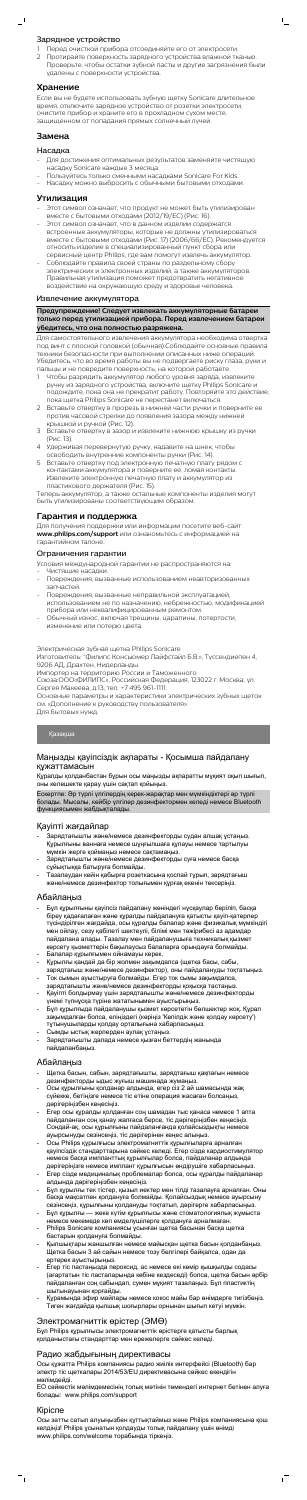#### Зарядное устройство

- 1 Перед очисткой прибора отсоединяйте его от электросети.
- 2 Протирайте поверхность зарядного устройства влажной тканью. Проверьте, чтобы остатки зубной пасты и другие загрязнения были удалены с поверхности устройства.

#### **Хранение**

 $\overline{\phantom{0}}$ 

Если вы не будете использовать зубную щетку Sonicare длительное время, отключите зарядное устройство от розетки электросети, очистите прибор и храните его в прохладном сухом месте, защищенном от попадания прямых солнечный лучей.

#### **Замена**

#### Насадка

- Для достижения оптимальных результатов заменяйте чистящую насадку Sonicare каждые 3 месяца.
- Пользуйтесь только сменными насадками Sonicare For Kids.
- Насадку можно выбросить с обычными бытовыми отходами.

- Этот символ означает, что продукт не может быть утилизирован вместе с бытовыми отходами (2012/19/ЕС) (Рис. 16).
- Этот символ означает, что в данном изделии содержатся встроенные аккумуляторы, которые не должны утилизироваться вместе с бытовыми отходами (Рис. 17) (2006/66/EC). Рекомендуется относить изделие в специализированный пункт сбора или сервисный центр Philips, где вам помогут извлечь аккумулятор.
- Соблюдайте правила своей страны по раздельному сбору электрических и электронных изделий, а также аккумуляторов. Правильная утилизация поможет предотвратить негативное воздействие на окружающую среду и здоровье человека.

#### **Утилизация**

#### Извлечение аккумулятора

**Предупреждение! Следует извлекать аккумуляторные батареи только перед утилизацией прибора. Перед извлечением батареи убедитесь, что она полностью разряжена.**

- Чистящие насалки.
- Повреждения, вызванные использованием неавторизованных запчастей.
- Повреждения, вызванные неправильной эксплуатацией, использованием не по назначению, небрежностью, модификацией прибора или неквалифицированным ремонтом.
- Обычный износ, включая трещины, царапины, потертости, изменение или потерю цвета.

Для самостоятельного извлечения аккумулятора необходима отвертка под винт с плоской головкой (обычная).Соблюдайте основные правила техники безопасности при выполнении описанных ниже операций. Убедитесь, что во время работы вы не подвергаете риску глаза, руки и пальцы и не повредите поверхность, на которой работаете.

- 1 Чтобы разрядить аккумулятор любого уровня заряда, извлеките ручку из зарядного устройства, включите щетку Philips Sonicare и подождите, пока она не прекратит работу. Повторяйте это действие, пока щетка Philips Sonicare не перестанет включаться.
- 2 Вставьте отвертку в прорезь в нижней части ручки и поверните ее против часовой стрелки до появления зазора между нижней крышкой и ручкой (Рис. 12).
- 3 Вставьте отвертку в зазор и извлеките нижнюю крышку из ручки (Рис. 13).
- 4 Удерживая перевернутую ручку, надавите на шнек, чтобы освободить внутренние компоненты ручки (Рис. 14).
- 5 Вставьте отвертку под электронную печатную плату рядом с контактами аккумулятора и поверните ее, ломая контакты. Извлеките электронную печатную плату и аккумулятор из пластикового держателя (Рис. 15).

Теперь аккумулятор, а также остальные компоненты изделия могут быть утилизированы соответствующим образом.

#### **Гарантия и поддержка**

Для получения поддержки или информации посетите веб-сайт **www.philips.com/support** или ознакомьтесь с информацией на гарантийном талоне.

#### Ограничения гарантии

Условия международной гарантии не распространяются на:

Электрическая зубная щетка Philips Sonicare Изготовитель: "Филипс Консьюмер Лайфстайл Б.В.», Туссендиепен 4, 9206 АД, Драхтен, Нидерланды. Импортер на территорию России и Таможенного Союза:ООО«ФИЛИПС», Российская Федерация, 123022 г. Москва, ул. Сергея Макеева, д.13, тел. +7 495 961-1111.

Основные параметры и характеристики электрических зубных щеток см. «Дополнение к руководству пользователя». Для бытовых нужд.

## Қазақша

## Маңызды қауіпсіздік ақпараты - Қосымша пайдалану құжаттамасын

Құралды қолданбастан бұрын осы маңызды ақпаратты мұқият оқып шығып,

оны келешекте қарау үшін сақтап қойыңыз.

Ескертпе: Әр түрлі үлгілердің керек-жарақтар мен мүмкіндіктері әр түрлі болады. Мысалы, кейбір үлгілер дезинфектормен келеді немесе Bluetooth функциясымен жабдықталады.

## Қауіпті жағдайлар

- Зарядтағышты және/немесе дезинфекторды судан алшақ ұстаңыз. Құрылғыны ваннаға немесе шұңғылшаға құлауы немесе тартылуы мүмкін жерге қоймаңыз немесе сақтамаңыз.
- Зарядтағышты және/немесе дезинфекторды суға немесе басқа сұйықтыққа батыруға болмайды.
- Тазалаудан кейін қабырға розеткасына қоспай тұрып, зарядтағыш және/немесе дезинфектор толығымен құрғақ екенін тексеріңіз.

#### Абайлаңыз

- Бұл құрылғыны қауіпсіз пайдалану жөніндегі нұсқаулар беріліп, басқа біреу қадағалаған және құралды пайдалануға қатысты қауіп-қатерлер түсіндірілген жағдайда, осы құралды балалар және физикалық мүмкіндігі мен ойлау, сезу қабілеті шектеулі, білімі мен тәжірибесі аз адамдар пайдалана алады. Тазалау мен пайдаланушыға техникалық қызмет көрсету қызметтерін бақылаусыз балаларға орындауға болмайды.
- Балалар құрылғымен ойнамауы керек.
- Құрылғы қандай да бір жолмен зақымдалса (щетка басы, сабы,
- зарядтағыш және/немесе дезинфектор), оны пайдалануды тоқтатыңыз. - Ток сымын ауыстыруға болмайды. Егер ток сымы зақымдалса, зарядтағышты және/немесе дезинфекторды қоқысқа тастаңыз.
- Қауіпті болдырмау үшін зарядтағышты және/немесе дезинфекторды үнемі түпнұсқа түріне жататынымен ауыстырыңыз.
- Бұл құрылғыда пайдаланушы қызмет көрсететін бөлшектер жоқ. Құрал зақымдалған болса, еліңіздегі (көріңіз 'Кепілдік және қолдау көрсету') тұтынушыларды қолдау орталығына хабарласыңыз.
- Сымды ыстық жерлерден аулақ ұстаңыз.
- Зарядтағышты далада немесе қызған беттердің жанында пайдаланбаңыз.

#### Абайлаңыз

- Щетка басын, сабын, зарядтағышты, зарядтағыш қақпағын немесе дезинфекторды ыдыс жуғыш машинада жумаңыз.
- Осы құрылғыны қолданар алдында, егер сіз 2 ай шамасында жақ сүйекке, бетіңізге немесе тіс етіне операция жасаған болсаңыз, дәрігеріңізбен кеңесіңіз.
- Егер осы құралды қолданған соң шамадан тыс қанаса немесе 1 апта пайдаланған соң қанау жалғаса берсе, тіс дәрігеріңізбен кеңесіңіз. Сондай-ақ, осы құрылғыны пайдаланғанда қолайсыздықты немесе ауырсынуды сезінсеңіз, тіс дәрігерінен кеңес алыңыз.
- Осы Philips құрылғысы электромагниттік құрылғыларға арналған қауіпсіздік стандарттарына сәйкес келеді. Егер сізде кардиостимулятор немесе басқа импланттық құрылғылар болса, пайдаланар алдында дәрігеріңізге немесе имплант құрылғысын өндірушіге хабарласыңыз.
- Егер сізде медициналық проблемалар болса, осы құралды пайдаланар алдында дәрігеріңізбен кеңесіңіз.
- Бұл құрылғы тек тістер, қызыл иектер мен тілді тазалауға арналған. Оны басқа мақсатпен қолдануға болмайды. Қолайсыздық немесе ауырсыну сезінсеңіз, құрылғыны қолдануды тоқтатып, дәрігерге хабарласыңыз.
- Бұл құрылғы жеке күтім құрылғысы және стоматологиялық жұмыста немесе мекемеде көп емделушілерге қолдануға арналмаған.
- Philips Sonicare компаниясы ұсынған щетка басынан басқа щетка бастарын қолдануға болмайды.
- Қылшықтары жаншылған немесе майысқан щетка басын қолданбаңыз. Щетка басын 3 ай сайын немесе тозу белгілері байқалса, одан да ертерек ауыстырыңыз.
- Егер тіс пастаңызда пероксид, ас немесе екі көмір қышқылды содасы (ағартатын тіс пасталарында көбіне кездеседі) болса, щетка басын әрбір пайдаланған соң сабындап, сумен мұқият тазалаңыз. Бұл пластиктің шытынауынан қорғайды.
- Құрамында эфир майлары немесе кокос майы бар өнімдерге тигізбеңіз. Тиген жағдайда қылшық шоғырлары орнынан шығып кетуі мүмкін.

# Электромагниттік өрістер (ЭМӨ)

Бұл Philips құрылғысы электромагниттік өрістерге қатысты барлық қолданыстағы стандарттар мен ережелерге сәйкес келеді.

## Радио жабдығының директивасы

Осы құжатта Philips компаниясы радио жиілік интерфейсі (Bluetooth) бар электр тіс щеткалары 2014/53/EU директивасына сәйкес екендігін мәлімдейді.

ЕО сәйкестік мәлімдемесінің толық мәтінін төмендегі интернет бетінен алуға болады: www.philips.com/support

#### Кіріспе

Осы затты сатып алуыңызбен құттықтаймыз және Philips компаниясына қош келдіңіз! Philips ұсынатын қолдауды толық пайдалану үшін өнімді www.philips.com/welcome торабында тіркеңіз.

 $\sqrt{2}$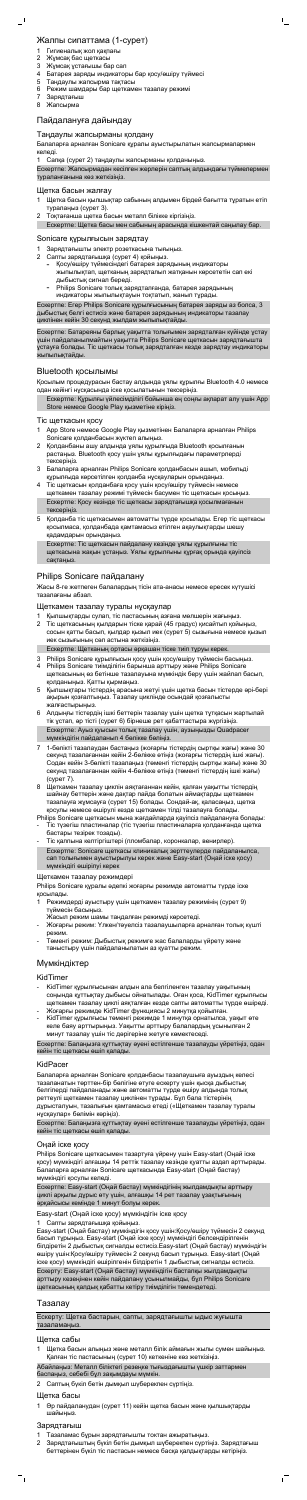# Жалпы сипаттама (1-сурет)

- 1 Гигиеналық жол қақпағы
- 2 Жұмсақ бас щеткасы
- 3 Жұмсақ ұстағышы бар сап
- 4 Батарея заряды индикаторы бар қосу/өшіру түймесі
- 5 Таңдаулы жапсырма тақтасы
- 6 Режим шамдары бар щеткамен тазалау режимі
- 7 Зарядтағыш
- 8 Жапсырма

## Пайдалануға дайындау

#### Таңдаулы жапсырманы қолдану

Балаларға арналған Sonicare құралы ауыстырылатын жапсырмалармен келеді.

1 Сапқа (сурет 2) таңдаулы жапсырманы қолданыңыз.

Ескертпе: Жапсырмадан кесілген жерлерін саптың алдындағы түймелермен тураланғанына көз жеткізіңіз.

 $\mathbb{L}$ 

#### Щетка басын жалғау

- 1 Щетка басын қылшықтар сабының алдымен бірдей бағытта тұратын етіп туралаңыз (сурет 3).
- 2 Тоқтағанша щетка басын металл білікке кіргізіңіз.
	- Ескертпе: Щетка басы мен сабының арасында кішкентай саңылау бар.

#### Sonicare құрылғысын зарядтау

- 1 Зарядтағышты электр розеткасына тығыңыз.
- 2 Сапты зарядтағышқа (сурет 4) қойыңыз.
	- Қосу/өшіру түймесіндегі батарея зарядының индикаторы жыпылықтап, щетканың зарядталып жатқанын көрсететін сап екі дыбыстық сигнал береді.
	- Philips Sonicare толық зарядталғанда, батарея зарядының индикаторы жыпылықтауын тоқтатып, жанып тұрады.

Ескертпе: Егер Philips Sonicare құрылғысының батарея заряды аз болса, 3 дыбыстық белгі естисіз және батарея зарядының индикаторы тазалау циклінен кейін 30 секунд жылдам жыпылықтайды.

Ескертпе: Батареяны барлық уақытта толығымен зарядталған күйінде ұстау үшін пайдаланылмайтын уақытта Philips Sonicare щеткасын зарядтағышта ұстауға болады. Тіс щеткасы толық зарядталған кезде зарядтау индикаторы жыпылықтайды.

#### Bluetooth қосылымы

Қосылым процедурасын бастау алдында ұялы құрылғы Bluetooth 4.0 немесе одан кейінгі нұсқасында іске қосылатынын тексеріңіз.

Ескертпе: Құрылғы үйлесімділігі бойынша ең соңғы ақпарат алу үшін App Store немесе Google Play қызметіне кіріңіз.

#### Тіс щеткасын қосу

- 1 App Store немесе Google Play қызметінен Балаларға арналған Philips Sonicare қолданбасын жүктеп алыңыз.
- 2 Қолданбаны ашу алдында ұялы құрылғыда Bluetooth қосылғанын растаңыз. Bluetooth қосу үшін ұялы құрылғыдағы параметрлерді тексеріңіз.
- 3 Балаларға арналған Philips Sonicare қолданбасын ашып, мобильді құрылғыда көрсетілген қолданба нұсқауларын орындаңыз.
- ...<br>Тіс щеткасын қолданбаға қосу үшін қосу/өшіру түймесін немесе щеткамен тазалау режимі түймесін басумен тіс щеткасын қосыңыз. Ескертпе: Қосу кезінде тіс щеткасы зарядтағышқа қосылмағанын тексеріңіз.
- 5 Қолданба тіс щеткасымен автоматты түрде қосылады. Егер тіс щеткасы қосылмаса, қолданбада қамтамасыз етілген ақаулықтарды шешу қадамдарын орындаңыз.
	- Ескертпе: Тіс щеткасын пайдалану кезінде ұялы құрылғыны тіс щеткасына жақын ұстаңыз. Ұялы құрылғыны құрғақ орында қауіпсіз сақтаңыз.

- $(c$ урет  $7)$ .
- 8 Щеткамен тазалау циклін аяқтағаннан кейін, қалған уақытты тістердің шайнау беттерін және дақтар пайда болатын аймақтарды щеткамен тазалауға жұмсауға (сурет 15) болады. Сондай-ақ, қаласаңыз, щетка қосулы немесе өшірулі кезде щеткамен тілді тазалауға болады.
- Philips Sonicare щеткасын мына жағдайларда қауіпсіз пайдалануға болады: - Тіс түзегіш пластиналар (тіс түзегіш пластиналарға қолданғанда щетка бастары тезірек тозады).
- Тіс қалпына келтіргіштері (пломбалар, коронкалар, венирлер). Ескертпе: Sonicare щеткасы клиникалық зерттеулерде пайдаланылса, сап толығымен ауыстырылуы керек және Easy-start (Оңай іске қосу) мүмкіндігі өшірілуі керек

#### Philips Sonicare пайдалану

Жасы 8-ге жетпеген балалардың тісін ата-анасы немесе ересек күтушісі тазалағаны абзал.

# Щеткамен тазалау туралы нұсқаулар

- 1 Қылшықтарды сулап, тіс пастасының азғана мөлшерін жағыңыз. 2 Тіс щеткасының қылдарын тіске қарай (45 градус) қисайтып қойыңыз, сосын қатты басып, қылдар қызыл иек (сурет 5) сызығына немесе қызыл иек сызығының сәл астына жеткізіңіз.
- Ескертпе: Щетканың ортасы әрқашан тіске тиіп тұруы керек.
- Philips Sonicare құрылғысын қосу үшін қосу/өшіру түймесін басыңыз. 4 Philips Sonicare тиімділігін барынша арттыру және Philips Sonicare
- щеткасының өз бетінше тазалауына мүмкіндік беру үшін жайлап басып, қолданыңыз. Қатты қырмаңыз. 5 Қылшықтары тістердің арасына жетуі үшін щетка басын тістерде әрі-бері
- ақырын қозғалтыңыз. Тазалау циклінде осындай қозғалысты жалғастырыңыз.
- 6 Алдыңғы тістердің ішкі беттерін тазалау үшін щетка тұтқасын жартылай тік ұстап, әр тісті (сурет 6) бірнеше рет қабаттастыра жүргізіңіз. Ескертпе: Ауыз қуысын толық тазалау үшін, аузыңызды Quadpacer мүмкіндігін пайдаланып 4 бөлікке бөліңіз.
- 7 1-бөлікті тазалаудан бастаңыз (жоғарғы тістердің сыртқы жағы) және 30 секунд тазалағаннан кейін 2-бөлікке өтіңіз (жоғарғы тістердің ішкі жағы). Содан кейін 3-бөлікті тазалаңыз (төменгі тістердің сыртқы жағы) және 30 секунд тазалағаннан кейін 4-бөлікке өтіңіз (төменгі тістердің ішкі жағы)

#### Щеткамен тазалау режимдері

Philips Sonicare құралы әдепкі жоғарғы режимде автоматты түрде іске қосылады.

- 1 Режимдерді ауыстыру үшін щеткамен тазалау режимінің (сурет 9) түймесін басыңыз.
- Жасыл режим шамы таңдалған режимді көрсетеді.
- Жоғарғы режим: Үлкен/тәуелсіз тазалаушыларға арналған толық күшті режим.
- .<br>Төменгі режим: Дыбыстық режимге жас балаларды үйрету және таныстыру үшін пайдаланылатын аз қуатты режим.

## Мүмкіндіктер

#### KidTimer

- KidTimer құрылғысынан алдын ала белгіленген тазалау уақытының соңында құттықтау дыбысы ойнатылады. Оған қоса, KidTimer құрылғысы щеткамен тазалау циклі аяқталған кезде сапты автоматты түрде өшіреді. - Жоғарғы режимде KidTimer функциясы 2 минутқа қойылған.
- KidTimer құрылғысы төменгі режимде 1 минутқа орнатылса, уақыт өте келе баяу арттырыңыз. Уақытты арттыру балалардың ұсынылған 2 минут тазалау үшін тіс дәрігеріне жетуге көмектеседі.

Ескертпе: Балаңызға құттықтау әуені естілгенше тазалауды үйретіңіз, одан кейін тіс щеткасы өшіп қалады.

#### KidPacer

Балаларға арналған Sonicare қолданбасы тазалаушыға ауыздың келесі тазаланатын төрттен-бір бөлігіне өтуге ескерту үшін қысқа дыбыстық белгілерді пайдаланады және автоматты түрде өшіру алдында толық реттеулі щеткамен тазалау циклінен тұрады. Бұл бала тістерінің дұрысталуын, тазалығын қамтамасыз етеді («Щеткамен тазалау туралы нұсқаулар» бөлімін көріңіз).

Ескертпе: Балаңызға құттықтау әуені естілгенше тазалауды үйретіңіз, одан кейін тіс щеткасы өшіп қалады.

#### Оңай іске қосу

Philips Sonicare щеткасымен тазартуға үйрену үшін Easy-start (Оңай іске қосу) мүмкіндігі алғашқы 14 реттік тазалау кезінде қуатты аздап арттырады. Балаларға арналған Sonicare щеткасында Easy-start (Оңай бастау) мүмкіндігі қосулы келеді.

Ескертпе: Easy-start (Оңай бастау) мүмкіндігінің жылдамдықты арттыру циклі арқылы дұрыс өту үшін, алғашқы 14 рет тазалау ұзақтығының әрқайсысы кемінде 1 минут болуы керек.

Easy-start (Оңай іске қосу) мүмкіндігін іске қосу

Сапты зарядтағышқа қойыңыз.

Easy-start (Оңай бастау) мүмкіндігін қосу үшін:Қосу/өшіру түймесін 2 секунд басып тұрыңыз. Easy-start (Оңай іске қосу) мүмкіндігі белсендірілгенін білдіретін 2 дыбыстық сигналды естисіз.Easy-start (Оңай бастау) мүмкіндігін өшіру үшін:Қосу/өшіру түймесін 2 секунд басып тұрыңыз. Easy-start (Оңай іске қосу) мүмкіндігі өшірілгенін білдіретін 1 дыбыстық сигналды естисіз. Ескерту: Easy-start (Оңай бастау) мүмкіндігін бастапқы жылдамдықты арттыру кезеңінен кейін пайдалану ұсынылмайды, бұл Philips Sonicare щеткасының қалдық қабатты кетіру тиімділігін төмендетеді.

#### Тазалау

Ескерту: Щетка бастарын, сапты, зарядтағышты ыдыс жуғышта тазаламаңыз.

#### Щетка сабы

1 Щетка басын алыңыз және металл білік аймағын жылы сумен шайыңыз. Қалған тіс пастасының (сурет 10) кеткеніне көз жеткізіңіз.

Абайлаңыз: Металл біліктегі резеңке тығыздағышты үшкір заттармен баспаңыз, себебі бұл зақымдауы мүмкін.

Саптың бүкіл бетін дымқыл шүберекпен сүртіңіз.

#### Щетка басы

1 Әр пайдаланудан (сурет 11) кейін щетка басын және қылшықтарды шайыңыз.

#### Зарядтағыш

- 1 Тазаламас бұрын зарядтағышты токтан ажыратыңыз.
- 2 Зарядтағыштың бүкіл бетін дымқыл шүберекпен сүртіңіз. Зарядтағыш беттерінен бүкіл тіс пастасын немесе басқа қалдықтарды кетіріңіз.

 $^{-}$